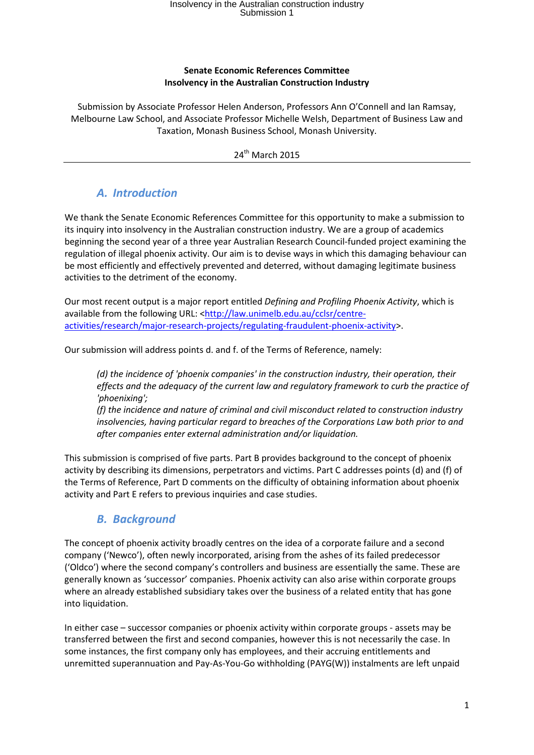#### **Senate Economic References Committee Insolvency in the Australian Construction Industry**

Submission by Associate Professor Helen Anderson, Professors Ann O'Connell and Ian Ramsay, Melbourne Law School, and Associate Professor Michelle Welsh, Department of Business Law and Taxation, Monash Business School, Monash University.

24<sup>th</sup> March 2015

## *A. Introduction*

We thank the Senate Economic References Committee for this opportunity to make a submission to its inquiry into insolvency in the Australian construction industry. We are a group of academics beginning the second year of a three year Australian Research Council-funded project examining the regulation of illegal phoenix activity. Our aim is to devise ways in which this damaging behaviour can be most efficiently and effectively prevented and deterred, without damaging legitimate business activities to the detriment of the economy.

Our most recent output is a major report entitled *Defining and Profiling Phoenix Activity*, which is available from the following URL: [<http://law.unimelb.edu.au/cclsr/centre](http://law.unimelb.edu.au/cclsr/centre-activities/research/major-research-projects/regulating-fraudulent-phoenix-activity)[activities/research/major-research-projects/regulating-fraudulent-phoenix-activity>](http://law.unimelb.edu.au/cclsr/centre-activities/research/major-research-projects/regulating-fraudulent-phoenix-activity).

Our submission will address points d. and f. of the Terms of Reference, namely:

*(d) the incidence of 'phoenix companies' in the construction industry, their operation, their effects and the adequacy of the current law and regulatory framework to curb the practice of 'phoenixing';*

*(f) the incidence and nature of criminal and civil misconduct related to construction industry insolvencies, having particular regard to breaches of the Corporations Law both prior to and after companies enter external administration and/or liquidation.*

This submission is comprised of five parts. Part B provides background to the concept of phoenix activity by describing its dimensions, perpetrators and victims. Part C addresses points (d) and (f) of the Terms of Reference, Part D comments on the difficulty of obtaining information about phoenix activity and Part E refers to previous inquiries and case studies.

## *B. Background*

The concept of phoenix activity broadly centres on the idea of a corporate failure and a second company ('Newco'), often newly incorporated, arising from the ashes of its failed predecessor ('Oldco') where the second company's controllers and business are essentially the same. These are generally known as 'successor' companies. Phoenix activity can also arise within corporate groups where an already established subsidiary takes over the business of a related entity that has gone into liquidation.

In either case – successor companies or phoenix activity within corporate groups - assets may be transferred between the first and second companies, however this is not necessarily the case. In some instances, the first company only has employees, and their accruing entitlements and unremitted superannuation and Pay-As-You-Go withholding (PAYG(W)) instalments are left unpaid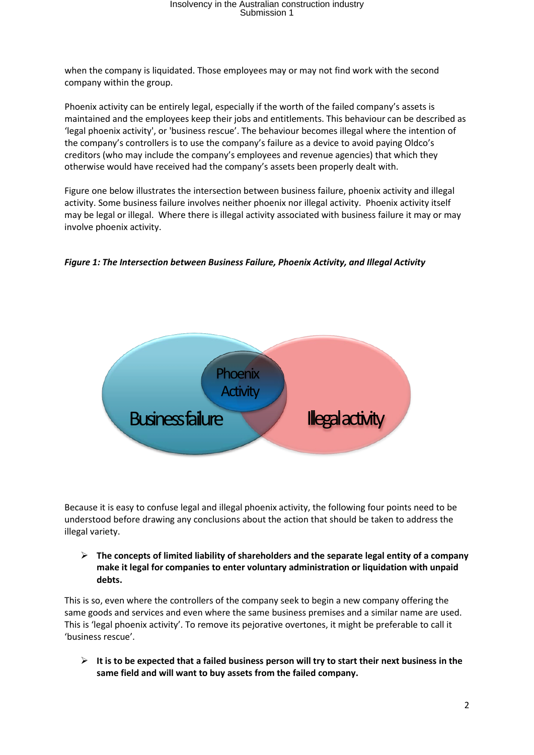when the company is liquidated. Those employees may or may not find work with the second company within the group.

Phoenix activity can be entirely legal, especially if the worth of the failed company's assets is maintained and the employees keep their jobs and entitlements. This behaviour can be described as 'legal phoenix activity', or 'business rescue'. The behaviour becomes illegal where the intention of the company's controllers is to use the company's failure as a device to avoid paying Oldco's creditors (who may include the company's employees and revenue agencies) that which they otherwise would have received had the company's assets been properly dealt with.

Figure one below illustrates the intersection between business failure, phoenix activity and illegal activity. Some business failure involves neither phoenix nor illegal activity. Phoenix activity itself may be legal or illegal. Where there is illegal activity associated with business failure it may or may involve phoenix activity.





Because it is easy to confuse legal and illegal phoenix activity, the following four points need to be understood before drawing any conclusions about the action that should be taken to address the illegal variety.

 **The concepts of limited liability of shareholders and the separate legal entity of a company make it legal for companies to enter voluntary administration or liquidation with unpaid debts.** 

This is so, even where the controllers of the company seek to begin a new company offering the same goods and services and even where the same business premises and a similar name are used. This is 'legal phoenix activity'. To remove its pejorative overtones, it might be preferable to call it 'business rescue'.

 **It is to be expected that a failed business person will try to start their next business in the same field and will want to buy assets from the failed company.**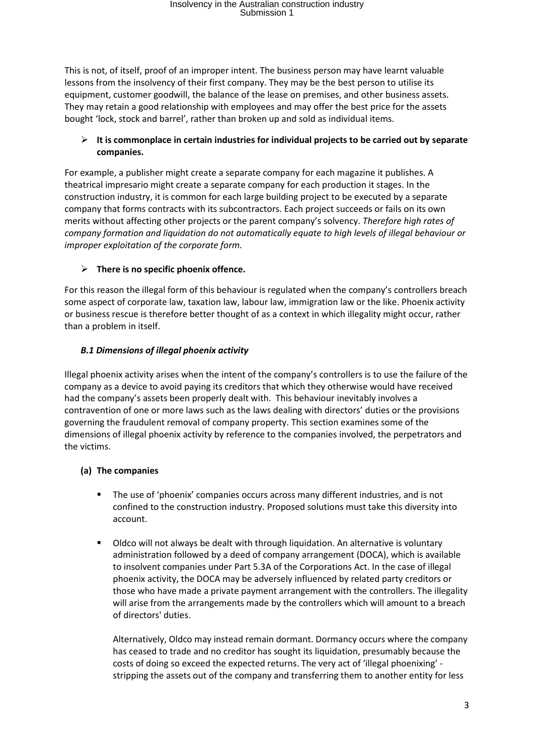This is not, of itself, proof of an improper intent. The business person may have learnt valuable lessons from the insolvency of their first company. They may be the best person to utilise its equipment, customer goodwill, the balance of the lease on premises, and other business assets. They may retain a good relationship with employees and may offer the best price for the assets bought 'lock, stock and barrel', rather than broken up and sold as individual items.

### $\triangleright$  It is commonplace in certain industries for individual projects to be carried out by separate **companies.**

For example, a publisher might create a separate company for each magazine it publishes. A theatrical impresario might create a separate company for each production it stages. In the construction industry, it is common for each large building project to be executed by a separate company that forms contracts with its subcontractors. Each project succeeds or fails on its own merits without affecting other projects or the parent company's solvency. *Therefore high rates of company formation and liquidation do not automatically equate to high levels of illegal behaviour or improper exploitation of the corporate form.*

### **There is no specific phoenix offence.**

For this reason the illegal form of this behaviour is regulated when the company's controllers breach some aspect of corporate law, taxation law, labour law, immigration law or the like. Phoenix activity or business rescue is therefore better thought of as a context in which illegality might occur, rather than a problem in itself.

#### *B.1 Dimensions of illegal phoenix activity*

Illegal phoenix activity arises when the intent of the company's controllers is to use the failure of the company as a device to avoid paying its creditors that which they otherwise would have received had the company's assets been properly dealt with. This behaviour inevitably involves a contravention of one or more laws such as the laws dealing with directors' duties or the provisions governing the fraudulent removal of company property. This section examines some of the dimensions of illegal phoenix activity by reference to the companies involved, the perpetrators and the victims.

#### **(a) The companies**

- The use of 'phoenix' companies occurs across many different industries, and is not confined to the construction industry. Proposed solutions must take this diversity into account.
- Oldco will not always be dealt with through liquidation. An alternative is voluntary administration followed by a deed of company arrangement (DOCA), which is available to insolvent companies under Part 5.3A of the Corporations Act. In the case of illegal phoenix activity, the DOCA may be adversely influenced by related party creditors or those who have made a private payment arrangement with the controllers. The illegality will arise from the arrangements made by the controllers which will amount to a breach of directors' duties.

Alternatively, Oldco may instead remain dormant. Dormancy occurs where the company has ceased to trade and no creditor has sought its liquidation, presumably because the costs of doing so exceed the expected returns. The very act of 'illegal phoenixing' stripping the assets out of the company and transferring them to another entity for less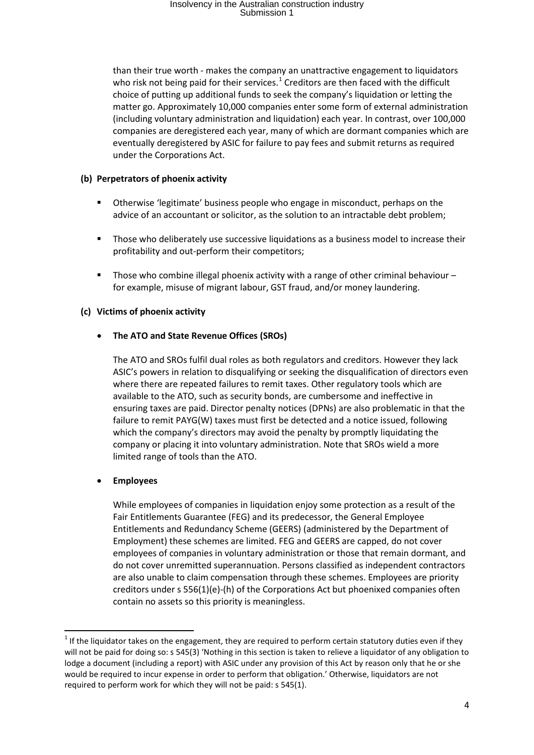than their true worth - makes the company an unattractive engagement to liquidators who risk not being paid for their services. $1$  Creditors are then faced with the difficult choice of putting up additional funds to seek the company's liquidation or letting the matter go. Approximately 10,000 companies enter some form of external administration (including voluntary administration and liquidation) each year. In contrast, over 100,000 companies are deregistered each year, many of which are dormant companies which are eventually deregistered by ASIC for failure to pay fees and submit returns as required under the Corporations Act.

#### **(b) Perpetrators of phoenix activity**

- Otherwise 'legitimate' business people who engage in misconduct, perhaps on the advice of an accountant or solicitor, as the solution to an intractable debt problem;
- Those who deliberately use successive liquidations as a business model to increase their profitability and out-perform their competitors;
- Those who combine illegal phoenix activity with a range of other criminal behaviour for example, misuse of migrant labour, GST fraud, and/or money laundering.

#### **(c) Victims of phoenix activity**

#### • **The ATO and State Revenue Offices (SROs)**

The ATO and SROs fulfil dual roles as both regulators and creditors. However they lack ASIC's powers in relation to disqualifying or seeking the disqualification of directors even where there are repeated failures to remit taxes. Other regulatory tools which are available to the ATO, such as security bonds, are cumbersome and ineffective in ensuring taxes are paid. Director penalty notices (DPNs) are also problematic in that the failure to remit PAYG(W) taxes must first be detected and a notice issued, following which the company's directors may avoid the penalty by promptly liquidating the company or placing it into voluntary administration. Note that SROs wield a more limited range of tools than the ATO.

#### • **Employees**

**.** 

While employees of companies in liquidation enjoy some protection as a result of the Fair Entitlements Guarantee (FEG) and its predecessor, the General Employee Entitlements and Redundancy Scheme (GEERS) (administered by the Department of Employment) these schemes are limited. FEG and GEERS are capped, do not cover employees of companies in voluntary administration or those that remain dormant, and do not cover unremitted superannuation. Persons classified as independent contractors are also unable to claim compensation through these schemes. Employees are priority creditors under s 556(1)(e)-(h) of the Corporations Act but phoenixed companies often contain no assets so this priority is meaningless.

<span id="page-3-0"></span> $1$  If the liquidator takes on the engagement, they are required to perform certain statutory duties even if they will not be paid for doing so: s 545(3) 'Nothing in this section is taken to relieve a liquidator of any obligation to lodge a document (including a report) with ASIC under any provision of this Act by reason only that he or she would be required to incur expense in order to perform that obligation.' Otherwise, liquidators are not required to perform work for which they will not be paid: s 545(1).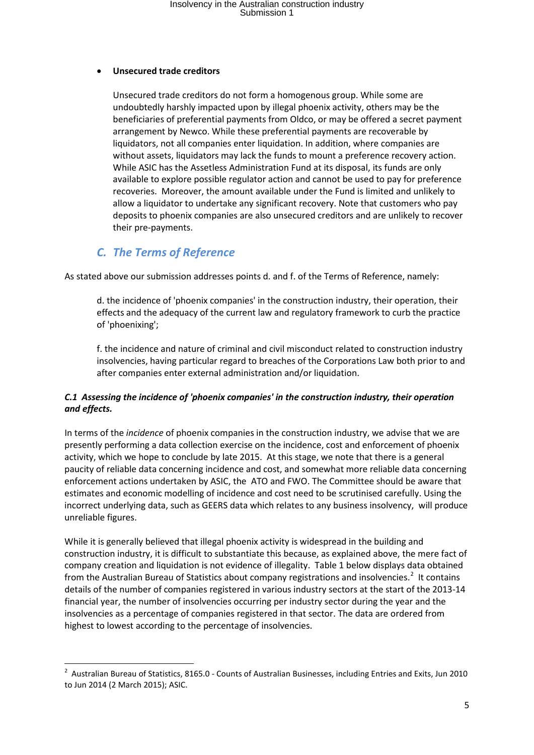#### • **Unsecured trade creditors**

Unsecured trade creditors do not form a homogenous group. While some are undoubtedly harshly impacted upon by illegal phoenix activity, others may be the beneficiaries of preferential payments from Oldco, or may be offered a secret payment arrangement by Newco. While these preferential payments are recoverable by liquidators, not all companies enter liquidation. In addition, where companies are without assets, liquidators may lack the funds to mount a preference recovery action. While ASIC has the Assetless Administration Fund at its disposal, its funds are only available to explore possible regulator action and cannot be used to pay for preference recoveries. Moreover, the amount available under the Fund is limited and unlikely to allow a liquidator to undertake any significant recovery. Note that customers who pay deposits to phoenix companies are also unsecured creditors and are unlikely to recover their pre-payments.

### *C. The Terms of Reference*

 $\overline{a}$ 

As stated above our submission addresses points d. and f. of the Terms of Reference, namely:

d. the incidence of 'phoenix companies' in the construction industry, their operation, their effects and the adequacy of the current law and regulatory framework to curb the practice of 'phoenixing';

f. the incidence and nature of criminal and civil misconduct related to construction industry insolvencies, having particular regard to breaches of the Corporations Law both prior to and after companies enter external administration and/or liquidation.

### *C.1 Assessing the incidence of 'phoenix companies' in the construction industry, their operation and effects.*

In terms of the *incidence* of phoenix companies in the construction industry, we advise that we are presently performing a data collection exercise on the incidence, cost and enforcement of phoenix activity, which we hope to conclude by late 2015. At this stage, we note that there is a general paucity of reliable data concerning incidence and cost, and somewhat more reliable data concerning enforcement actions undertaken by ASIC, the ATO and FWO. The Committee should be aware that estimates and economic modelling of incidence and cost need to be scrutinised carefully. Using the incorrect underlying data, such as GEERS data which relates to any business insolvency, will produce unreliable figures.

While it is generally believed that illegal phoenix activity is widespread in the building and construction industry, it is difficult to substantiate this because, as explained above, the mere fact of company creation and liquidation is not evidence of illegality. Table 1 below displays data obtained from the Australian Bureau of Statistics about company registrations and insolvencies.<sup>[2](#page-4-0)</sup> It contains details of the number of companies registered in various industry sectors at the start of the 2013-14 financial year, the number of insolvencies occurring per industry sector during the year and the insolvencies as a percentage of companies registered in that sector. The data are ordered from highest to lowest according to the percentage of insolvencies.

<span id="page-4-0"></span><sup>&</sup>lt;sup>2</sup> Australian Bureau of Statistics, 8165.0 - Counts of Australian Businesses, including Entries and Exits, Jun 2010 to Jun 2014 (2 March 2015); ASIC.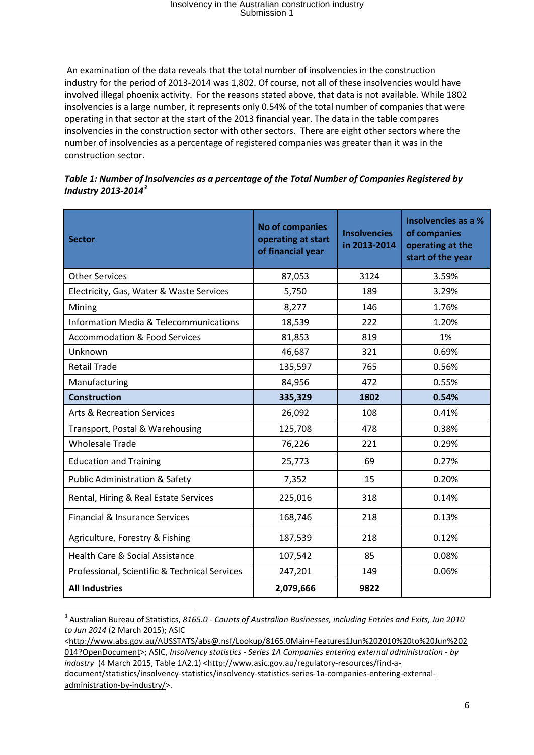An examination of the data reveals that the total number of insolvencies in the construction industry for the period of 2013-2014 was 1,802. Of course, not all of these insolvencies would have involved illegal phoenix activity. For the reasons stated above, that data is not available. While 1802 insolvencies is a large number, it represents only 0.54% of the total number of companies that were operating in that sector at the start of the 2013 financial year. The data in the table compares insolvencies in the construction sector with other sectors. There are eight other sectors where the number of insolvencies as a percentage of registered companies was greater than it was in the construction sector.

| <b>Sector</b>                                     | <b>No of companies</b><br>operating at start<br>of financial year | <b>Insolvencies</b><br>in 2013-2014 | Insolvencies as a %<br>of companies<br>operating at the<br>start of the year |
|---------------------------------------------------|-------------------------------------------------------------------|-------------------------------------|------------------------------------------------------------------------------|
| <b>Other Services</b>                             | 87,053                                                            | 3124                                | 3.59%                                                                        |
| Electricity, Gas, Water & Waste Services          | 5,750                                                             | 189                                 | 3.29%                                                                        |
| Mining                                            | 8,277                                                             | 146                                 | 1.76%                                                                        |
| <b>Information Media &amp; Telecommunications</b> | 18,539                                                            | 222                                 | 1.20%                                                                        |
| <b>Accommodation &amp; Food Services</b>          | 81,853                                                            | 819                                 | 1%                                                                           |
| Unknown                                           | 46,687                                                            | 321                                 | 0.69%                                                                        |
| <b>Retail Trade</b>                               | 135,597                                                           | 765                                 | 0.56%                                                                        |
| Manufacturing                                     | 84,956                                                            | 472                                 | 0.55%                                                                        |
| <b>Construction</b>                               | 335,329                                                           | 1802                                | 0.54%                                                                        |
| <b>Arts &amp; Recreation Services</b>             | 26,092                                                            | 108                                 | 0.41%                                                                        |
| Transport, Postal & Warehousing                   | 125,708                                                           | 478                                 | 0.38%                                                                        |
| <b>Wholesale Trade</b>                            | 76,226                                                            | 221                                 | 0.29%                                                                        |
| <b>Education and Training</b>                     | 25,773                                                            | 69                                  | 0.27%                                                                        |
| <b>Public Administration &amp; Safety</b>         | 7,352                                                             | 15                                  | 0.20%                                                                        |
| Rental, Hiring & Real Estate Services             | 225,016                                                           | 318                                 | 0.14%                                                                        |
| Financial & Insurance Services                    | 168,746                                                           | 218                                 | 0.13%                                                                        |
| Agriculture, Forestry & Fishing                   | 187,539                                                           | 218                                 | 0.12%                                                                        |
| Health Care & Social Assistance                   | 107,542                                                           | 85                                  | 0.08%                                                                        |
| Professional, Scientific & Technical Services     | 247,201                                                           | 149                                 | 0.06%                                                                        |
| <b>All Industries</b>                             | 2,079,666                                                         | 9822                                |                                                                              |

|                        | Table 1: Number of Insolvencies as a percentage of the Total Number of Companies Registered by |
|------------------------|------------------------------------------------------------------------------------------------|
| Industry 2013-2014 $3$ |                                                                                                |

**.** 

[<http://www.abs.gov.au/AUSSTATS/abs@.nsf/Lookup/8165.0Main+Features1Jun%202010%20to%20Jun%202](http://www.abs.gov.au/AUSSTATS/abs@.nsf/Lookup/8165.0Main+Features1Jun%202010%20to%20Jun%202014?OpenDocument) [014?OpenDocument>](http://www.abs.gov.au/AUSSTATS/abs@.nsf/Lookup/8165.0Main+Features1Jun%202010%20to%20Jun%202014?OpenDocument); ASIC, *Insolvency statistics - Series 1A Companies entering external administration - by*  industry (4 March 2015, Table 1A2.1) [<http://www.asic.gov.au/regulatory-resources/find-a](http://www.asic.gov.au/regulatory-resources/find-a-document/statistics/insolvency-statistics/insolvency-statistics-series-1a-companies-entering-external-administration-by-industry/)[document/statistics/insolvency-statistics/insolvency-statistics-series-1a-companies-entering-external](http://www.asic.gov.au/regulatory-resources/find-a-document/statistics/insolvency-statistics/insolvency-statistics-series-1a-companies-entering-external-administration-by-industry/)[administration-by-industry/>](http://www.asic.gov.au/regulatory-resources/find-a-document/statistics/insolvency-statistics/insolvency-statistics-series-1a-companies-entering-external-administration-by-industry/).

<span id="page-5-0"></span><sup>3</sup> Australian Bureau of Statistics, *8165.0 - Counts of Australian Businesses, including Entries and Exits, Jun 2010 to Jun 2014* (2 March 2015); ASIC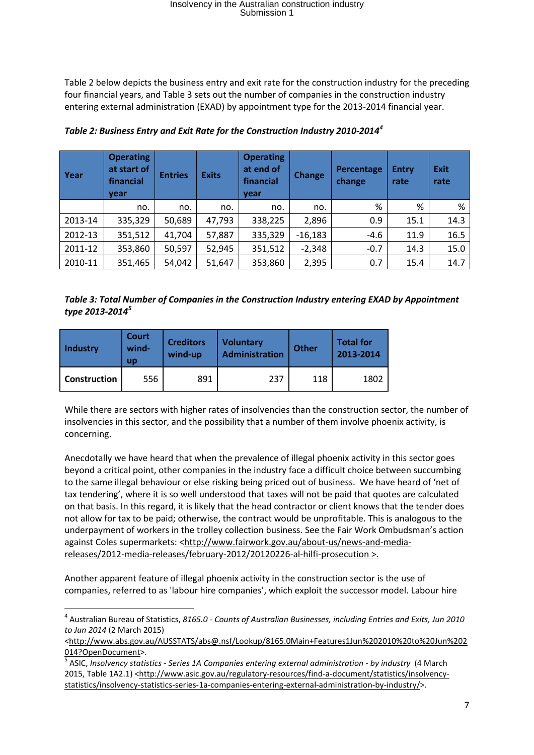Table 2 below depicts the business entry and exit rate for the construction industry for the preceding four financial years, and Table 3 sets out the number of companies in the construction industry entering external administration (EXAD) by appointment type for the 2013-2014 financial year.

| Year    | <b>Operating</b><br>at start of<br>financial<br>year | <b>Entries</b> | <b>Exits</b> | <b>Operating</b><br>at end of<br>financial<br>vear | <b>Change</b> | Percentage<br>change | <b>Entry</b><br>rate | <b>Exit</b><br>rate |
|---------|------------------------------------------------------|----------------|--------------|----------------------------------------------------|---------------|----------------------|----------------------|---------------------|
|         | no.                                                  | no.            | no.          | no.                                                | no.           | %                    | %                    | %                   |
| 2013-14 | 335,329                                              | 50,689         | 47,793       | 338,225                                            | 2,896         | 0.9                  | 15.1                 | 14.3                |
| 2012-13 | 351,512                                              | 41,704         | 57,887       | 335,329                                            | $-16,183$     | $-4.6$               | 11.9                 | 16.5                |
| 2011-12 | 353,860                                              | 50,597         | 52,945       | 351,512                                            | $-2,348$      | $-0.7$               | 14.3                 | 15.0                |
| 2010-11 | 351,465                                              | 54,042         | 51,647       | 353,860                                            | 2,395         | 0.7                  | 15.4                 | 14.7                |

*Table 2: Business Entry and Exit Rate for the Construction Industry 2010-2014[4](#page-6-0)*

*Table 3: Total Number of Companies in the Construction Industry entering EXAD by Appointment type 2013-2014[5](#page-6-1)*

| Industry     | Court<br>wind-<br>up | <b>Creditors</b><br>wind-up | <b>Voluntary</b><br><b>Administration</b> | <b>Other</b> | <b>Total for</b><br>2013-2014 |
|--------------|----------------------|-----------------------------|-------------------------------------------|--------------|-------------------------------|
| Construction | 556                  | 891                         | 237                                       | 118          | 1802                          |

While there are sectors with higher rates of insolvencies than the construction sector, the number of insolvencies in this sector, and the possibility that a number of them involve phoenix activity, is concerning.

Anecdotally we have heard that when the prevalence of illegal phoenix activity in this sector goes beyond a critical point, other companies in the industry face a difficult choice between succumbing to the same illegal behaviour or else risking being priced out of business. We have heard of 'net of tax tendering', where it is so well understood that taxes will not be paid that quotes are calculated on that basis. In this regard, it is likely that the head contractor or client knows that the tender does not allow for tax to be paid; otherwise, the contract would be unprofitable. This is analogous to the underpayment of workers in the trolley collection business. See the Fair Work Ombudsman's action against Coles supermarkets: [<http://www.fairwork.gov.au/about-us/news-and-media](http://www.fairwork.gov.au/about-us/news-and-media-releases/2012-media-releases/february-2012/20120226-al-hilfi-prosecution)[releases/2012-media-releases/february-2012/20120226-al-hilfi-prosecution](http://www.fairwork.gov.au/about-us/news-and-media-releases/2012-media-releases/february-2012/20120226-al-hilfi-prosecution) >.

Another apparent feature of illegal phoenix activity in the construction sector is the use of companies, referred to as 'labour hire companies', which exploit the successor model. Labour hire

<span id="page-6-0"></span><sup>4</sup> Australian Bureau of Statistics, *8165.0 - Counts of Australian Businesses, including Entries and Exits, Jun 2010 to Jun 2014* (2 March 2015)

[<sup>&</sup>lt;http://www.abs.gov.au/AUSSTATS/abs@.nsf/Lookup/8165.0Main+Features1Jun%202010%20to%20Jun%202](http://www.abs.gov.au/AUSSTATS/abs@.nsf/Lookup/8165.0Main+Features1Jun%202010%20to%20Jun%202014?OpenDocument)

<span id="page-6-1"></span>[<sup>014?</sup>OpenDocument>](http://www.abs.gov.au/AUSSTATS/abs@.nsf/Lookup/8165.0Main+Features1Jun%202010%20to%20Jun%202014?OpenDocument). [5](http://www.abs.gov.au/AUSSTATS/abs@.nsf/Lookup/8165.0Main+Features1Jun%202010%20to%20Jun%202014?OpenDocument) ASIC, *Insolvency statistics - Series 1A Companies entering external administration - by industry* (4 March 2015, Table 1A2.1) [<http://www.asic.gov.au/regulatory-resources/find-a-document/statistics/insolvency](http://www.asic.gov.au/regulatory-resources/find-a-document/statistics/insolvency-statistics/insolvency-statistics-series-1a-companies-entering-external-administration-by-industry/)[statistics/insolvency-statistics-series-1a-companies-entering-external-administration-by-industry/>](http://www.asic.gov.au/regulatory-resources/find-a-document/statistics/insolvency-statistics/insolvency-statistics-series-1a-companies-entering-external-administration-by-industry/).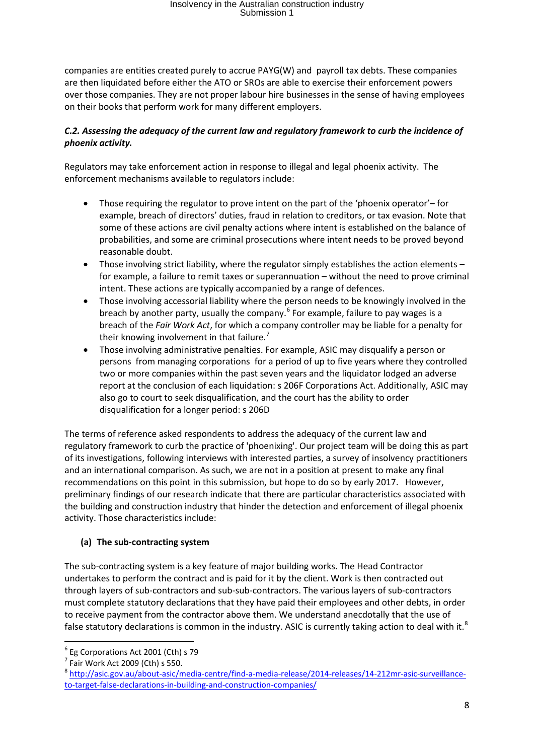companies are entities created purely to accrue PAYG(W) and payroll tax debts. These companies are then liquidated before either the ATO or SROs are able to exercise their enforcement powers over those companies. They are not proper labour hire businesses in the sense of having employees on their books that perform work for many different employers.

### *C.2. Assessing the adequacy of the current law and regulatory framework to curb the incidence of phoenix activity.*

Regulators may take enforcement action in response to illegal and legal phoenix activity. The enforcement mechanisms available to regulators include:

- Those requiring the regulator to prove intent on the part of the 'phoenix operator'– for example, breach of directors' duties, fraud in relation to creditors, or tax evasion. Note that some of these actions are civil penalty actions where intent is established on the balance of probabilities, and some are criminal prosecutions where intent needs to be proved beyond reasonable doubt.
- Those involving strict liability, where the regulator simply establishes the action elements for example, a failure to remit taxes or superannuation – without the need to prove criminal intent. These actions are typically accompanied by a range of defences.
- Those involving accessorial liability where the person needs to be knowingly involved in the breach by another party, usually the company. $6$  For example, failure to pay wages is a breach of the *Fair Work Act*, for which a company controller may be liable for a penalty for their knowing involvement in that failure.<sup>[7](#page-7-1)</sup>
- Those involving administrative penalties. For example, ASIC may disqualify a person or persons from managing corporations for a period of up to five years where they controlled two or more companies within the past seven years and the liquidator lodged an adverse report at the conclusion of each liquidation: s 206F Corporations Act. Additionally, ASIC may also go to court to seek disqualification, and the court has the ability to order disqualification for a longer period: s 206D

The terms of reference asked respondents to address the adequacy of the current law and regulatory framework to curb the practice of 'phoenixing'. Our project team will be doing this as part of its investigations, following interviews with interested parties, a survey of insolvency practitioners and an international comparison. As such, we are not in a position at present to make any final recommendations on this point in this submission, but hope to do so by early 2017. However, preliminary findings of our research indicate that there are particular characteristics associated with the building and construction industry that hinder the detection and enforcement of illegal phoenix activity. Those characteristics include:

### **(a) The sub-contracting system**

The sub-contracting system is a key feature of major building works. The Head Contractor undertakes to perform the contract and is paid for it by the client. Work is then contracted out through layers of sub-contractors and sub-sub-contractors. The various layers of sub-contractors must complete statutory declarations that they have paid their employees and other debts, in order to receive payment from the contractor above them. We understand anecdotally that the use of false statutory declarations is common in the industry. ASIC is currently taking action to deal with it.<sup>[8](#page-7-2)</sup>

<span id="page-7-0"></span> $^6$  Eg Corporations Act 2001 (Cth) s 79<br> $^7$  Fair Work Act 2009 (Cth) s 550.

<span id="page-7-2"></span><span id="page-7-1"></span><sup>8</sup> [http://asic.gov.au/about-asic/media-centre/find-a-media-release/2014-releases/14-212mr-asic-surveillance](http://asic.gov.au/about-asic/media-centre/find-a-media-release/2014-releases/14-212mr-asic-surveillance-to-target-false-declarations-in-building-and-construction-companies/)[to-target-false-declarations-in-building-and-construction-companies/](http://asic.gov.au/about-asic/media-centre/find-a-media-release/2014-releases/14-212mr-asic-surveillance-to-target-false-declarations-in-building-and-construction-companies/)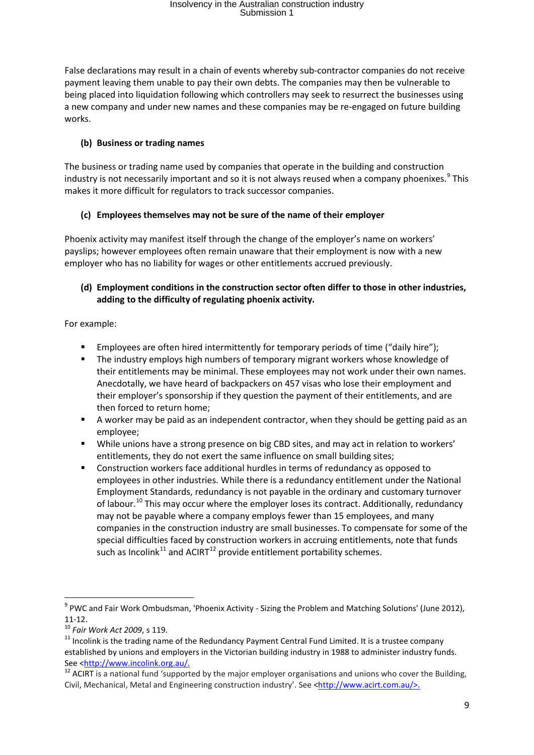False declarations may result in a chain of events whereby sub-contractor companies do not receive payment leaving them unable to pay their own debts. The companies may then be vulnerable to being placed into liquidation following which controllers may seek to resurrect the businesses using a new company and under new names and these companies may be re-engaged on future building works.

#### **(b) Business or trading names**

The business or trading name used by companies that operate in the building and construction industry is not necessarily important and so it is not always reused when a company phoenixes.<sup>[9](#page-8-0)</sup> This makes it more difficult for regulators to track successor companies.

### **(c) Employees themselves may not be sure of the name of their employer**

Phoenix activity may manifest itself through the change of the employer's name on workers' payslips; however employees often remain unaware that their employment is now with a new employer who has no liability for wages or other entitlements accrued previously.

### **(d) Employment conditions in the construction sector often differ to those in other industries, adding to the difficulty of regulating phoenix activity.**

For example:

- Employees are often hired intermittently for temporary periods of time ("daily hire");
- The industry employs high numbers of temporary migrant workers whose knowledge of their entitlements may be minimal. These employees may not work under their own names. Anecdotally, we have heard of backpackers on 457 visas who lose their employment and their employer's sponsorship if they question the payment of their entitlements, and are then forced to return home;
- A worker may be paid as an independent contractor, when they should be getting paid as an employee;
- While unions have a strong presence on big CBD sites, and may act in relation to workers' entitlements, they do not exert the same influence on small building sites;
- Construction workers face additional hurdles in terms of redundancy as opposed to employees in other industries. While there is a redundancy entitlement under the National Employment Standards, redundancy is not payable in the ordinary and customary turnover of labour.<sup>[10](#page-8-1)</sup> This may occur where the employer loses its contract. Additionally, redundancy may not be payable where a company employs fewer than 15 employees, and many companies in the construction industry are small businesses. To compensate for some of the special difficulties faced by construction workers in accruing entitlements, note that funds such as Incolink<sup>[11](#page-8-2)</sup> and ACIRT<sup>[12](#page-8-3)</sup> provide entitlement portability schemes.

 $\overline{a}$ 

<span id="page-8-0"></span><sup>&</sup>lt;sup>9</sup> PWC and Fair Work Ombudsman, 'Phoenix Activity - Sizing the Problem and Matching Solutions' (June 2012),

<span id="page-8-2"></span>

<span id="page-8-1"></span><sup>11-12.&</sup>lt;br><sup>10</sup> *Fair Work Act 2009*, s 119.<br><sup>11</sup> Incolink is the trading name of the Redundancy Payment Central Fund Limited. It is a trustee company established by unions and employers in the Victorian building industry in 1988 to administer industry funds.

<span id="page-8-3"></span>See [<http://www.incolink.org.au/.](http://www.incolink.org.au/)<br><sup>12</sup> ACIRT is a national fund 'supported by the major employer organisations and unions who cover the Building, Civil, Mechanical, Metal and Engineering construction industry'. See [<http://www.acirt.com.au/>](http://www.acirt.com.au/).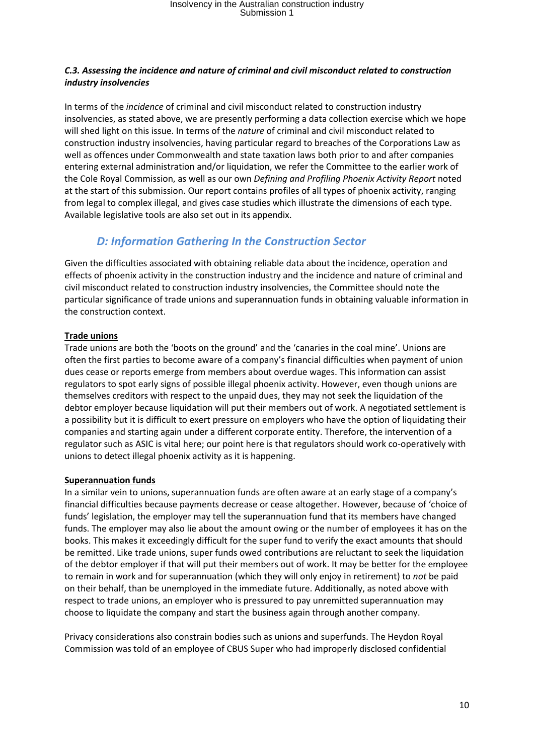#### *C.3. Assessing the incidence and nature of criminal and civil misconduct related to construction industry insolvencies*

In terms of the *incidence* of criminal and civil misconduct related to construction industry insolvencies, as stated above, we are presently performing a data collection exercise which we hope will shed light on this issue. In terms of the *nature* of criminal and civil misconduct related to construction industry insolvencies, having particular regard to breaches of the Corporations Law as well as offences under Commonwealth and state taxation laws both prior to and after companies entering external administration and/or liquidation, we refer the Committee to the earlier work of the Cole Royal Commission, as well as our own *Defining and Profiling Phoenix Activity Report* noted at the start of this submission. Our report contains profiles of all types of phoenix activity, ranging from legal to complex illegal, and gives case studies which illustrate the dimensions of each type. Available legislative tools are also set out in its appendix.

## *D: Information Gathering In the Construction Sector*

Given the difficulties associated with obtaining reliable data about the incidence, operation and effects of phoenix activity in the construction industry and the incidence and nature of criminal and civil misconduct related to construction industry insolvencies, the Committee should note the particular significance of trade unions and superannuation funds in obtaining valuable information in the construction context.

### **Trade unions**

Trade unions are both the 'boots on the ground' and the 'canaries in the coal mine'. Unions are often the first parties to become aware of a company's financial difficulties when payment of union dues cease or reports emerge from members about overdue wages. This information can assist regulators to spot early signs of possible illegal phoenix activity. However, even though unions are themselves creditors with respect to the unpaid dues, they may not seek the liquidation of the debtor employer because liquidation will put their members out of work. A negotiated settlement is a possibility but it is difficult to exert pressure on employers who have the option of liquidating their companies and starting again under a different corporate entity. Therefore, the intervention of a regulator such as ASIC is vital here; our point here is that regulators should work co-operatively with unions to detect illegal phoenix activity as it is happening.

#### **Superannuation funds**

In a similar vein to unions, superannuation funds are often aware at an early stage of a company's financial difficulties because payments decrease or cease altogether. However, because of 'choice of funds' legislation, the employer may tell the superannuation fund that its members have changed funds. The employer may also lie about the amount owing or the number of employees it has on the books. This makes it exceedingly difficult for the super fund to verify the exact amounts that should be remitted. Like trade unions, super funds owed contributions are reluctant to seek the liquidation of the debtor employer if that will put their members out of work. It may be better for the employee to remain in work and for superannuation (which they will only enjoy in retirement) to *not* be paid on their behalf, than be unemployed in the immediate future. Additionally, as noted above with respect to trade unions, an employer who is pressured to pay unremitted superannuation may choose to liquidate the company and start the business again through another company.

Privacy considerations also constrain bodies such as unions and superfunds. The Heydon Royal Commission was told of an employee of CBUS Super who had improperly disclosed confidential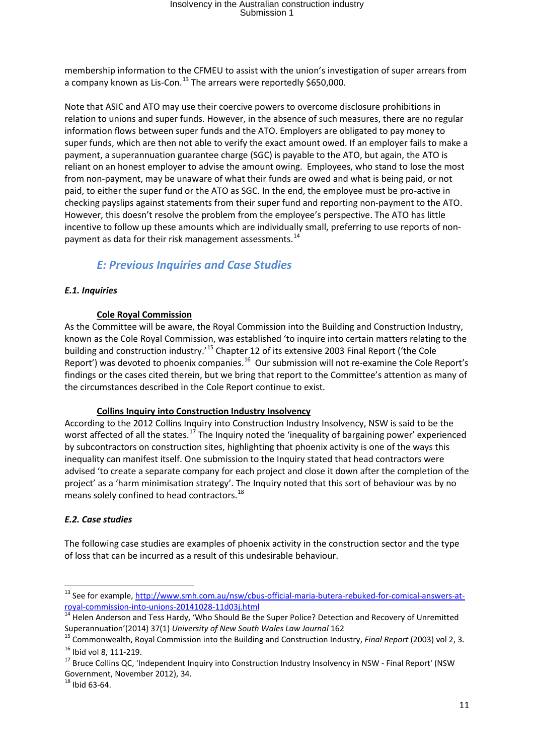membership information to the CFMEU to assist with the union's investigation of super arrears from a company known as Lis-Con.<sup>[13](#page-10-0)</sup> The arrears were reportedly \$650,000.

Note that ASIC and ATO may use their coercive powers to overcome disclosure prohibitions in relation to unions and super funds. However, in the absence of such measures, there are no regular information flows between super funds and the ATO. Employers are obligated to pay money to super funds, which are then not able to verify the exact amount owed. If an employer fails to make a payment, a superannuation guarantee charge (SGC) is payable to the ATO, but again, the ATO is reliant on an honest employer to advise the amount owing. Employees, who stand to lose the most from non-payment, may be unaware of what their funds are owed and what is being paid, or not paid, to either the super fund or the ATO as SGC. In the end, the employee must be pro-active in checking payslips against statements from their super fund and reporting non-payment to the ATO. However, this doesn't resolve the problem from the employee's perspective. The ATO has little incentive to follow up these amounts which are individually small, preferring to use reports of non-payment as data for their risk management assessments.<sup>[14](#page-10-1)</sup>

### *E: Previous Inquiries and Case Studies*

#### *E.1. Inquiries*

#### **Cole Royal Commission**

As the Committee will be aware, the Royal Commission into the Building and Construction Industry, known as the Cole Royal Commission, was established 'to inquire into certain matters relating to the building and construction industry.<sup>[15](#page-10-2)</sup> Chapter 12 of its extensive 2003 Final Report ('the Cole Report') was devoted to phoenix companies.<sup>[16](#page-10-3)</sup> Our submission will not re-examine the Cole Report's findings or the cases cited therein, but we bring that report to the Committee's attention as many of the circumstances described in the Cole Report continue to exist.

#### **Collins Inquiry into Construction Industry Insolvency**

According to the 2012 Collins Inquiry into Construction Industry Insolvency, NSW is said to be the worst affected of all the states.<sup>[17](#page-10-4)</sup> The Inquiry noted the 'inequality of bargaining power' experienced by subcontractors on construction sites, highlighting that phoenix activity is one of the ways this inequality can manifest itself. One submission to the Inquiry stated that head contractors were advised 'to create a separate company for each project and close it down after the completion of the project' as a 'harm minimisation strategy'. The Inquiry noted that this sort of behaviour was by no means solely confined to head contractors.<sup>[18](#page-10-5)</sup>

#### *E.2. Case studies*

The following case studies are examples of phoenix activity in the construction sector and the type of loss that can be incurred as a result of this undesirable behaviour.

<span id="page-10-0"></span><sup>&</sup>lt;sup>13</sup> See for example, [http://www.smh.com.au/nsw/cbus-official-maria-butera-rebuked-for-comical-answers-at](http://www.smh.com.au/nsw/cbus-official-maria-butera-rebuked-for-comical-answers-at-royal-commission-into-unions-20141028-11d03j.html)[royal-commission-into-unions-20141028-11d03j.html](http://www.smh.com.au/nsw/cbus-official-maria-butera-rebuked-for-comical-answers-at-royal-commission-into-unions-20141028-11d03j.html)<br><sup>14</sup> Helen Anderson and Tess Hardy, 'Who Should Be the Super Police? Detection and Recovery of Unremitted

<span id="page-10-2"></span><span id="page-10-1"></span>Superannuation'(2014) 37(1) *University of New South Wales Law Journal* 162<br><sup>15</sup> Commonwealth, Royal Commission into the Building and Construction Industry, *Final Report* (2003) vol 2, 3.

<span id="page-10-4"></span><span id="page-10-3"></span><sup>&</sup>lt;sup>16</sup> Ibid vol 8, 111-219.<br><sup>17</sup> Bruce Collins QC, 'Independent Inquiry into Construction Industry Insolvency in NSW - Final Report' (NSW Government, November 2012), 34.<br><sup>18</sup> Ibid 63-64.

<span id="page-10-5"></span>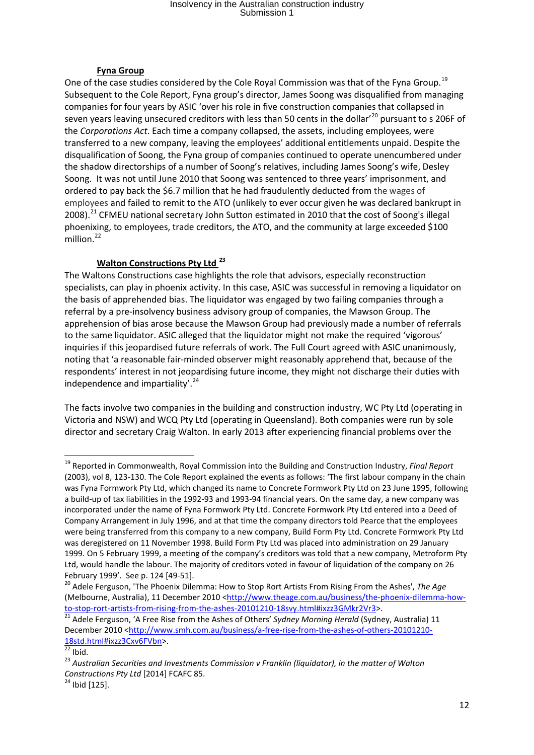#### **Fyna Group**

One of the case studies considered by the Cole Royal Commission was that of the Fyna Group.<sup>[19](#page-11-0)</sup> Subsequent to the Cole Report, Fyna group's director, James Soong was disqualified from managing companies for four years by ASIC 'over his role in five construction companies that collapsed in seven years leaving unsecured creditors with less than 50 cents in the dollar<sup>'[20](#page-11-1)</sup> pursuant to s 206F of the *Corporations Act*. Each time a company collapsed, the assets, including employees, were transferred to a new company, leaving the employees' additional entitlements unpaid. Despite the disqualification of Soong, the Fyna group of companies continued to operate unencumbered under the shadow directorships of a number of Soong's relatives, including James Soong's wife, Desley Soong. It was not until June 2010 that Soong was sentenced to three years' imprisonment, and ordered to pay back the \$6.7 million that he had fraudulently deducted from the wages of employees and failed to remit to the ATO (unlikely to ever occur given he was declared bankrupt in 2008).<sup>[21](#page-11-2)</sup> CFMEU national secretary John Sutton estimated in 2010 that the cost of Soong's illegal phoenixing, to employees, trade creditors, the ATO, and the community at large exceeded \$100 million.<sup>[22](#page-11-3)</sup>

#### **Walton Constructions Pty Ltd [23](#page-11-4)**

The Waltons Constructions case highlights the role that advisors, especially reconstruction specialists, can play in phoenix activity. In this case, ASIC was successful in removing a liquidator on the basis of apprehended bias. The liquidator was engaged by two failing companies through a referral by a pre-insolvency business advisory group of companies, the Mawson Group. The apprehension of bias arose because the Mawson Group had previously made a number of referrals to the same liquidator. ASIC alleged that the liquidator might not make the required 'vigorous' inquiries if this jeopardised future referrals of work. The Full Court agreed with ASIC unanimously, noting that 'a reasonable fair-minded observer might reasonably apprehend that, because of the respondents' interest in not jeopardising future income, they might not discharge their duties with independence and impartiality'. $24$ 

The facts involve two companies in the building and construction industry, WC Pty Ltd (operating in Victoria and NSW) and WCQ Pty Ltd (operating in Queensland). Both companies were run by sole director and secretary Craig Walton. In early 2013 after experiencing financial problems over the

1

<span id="page-11-0"></span><sup>19</sup> Reported in Commonwealth, Royal Commission into the Building and Construction Industry, *Final Report* (2003), vol 8, 123-130. The Cole Report explained the events as follows: 'The first labour company in the chain was Fyna Formwork Pty Ltd, which changed its name to Concrete Formwork Pty Ltd on 23 June 1995, following a build-up of tax liabilities in the 1992-93 and 1993-94 financial years. On the same day, a new company was incorporated under the name of Fyna Formwork Pty Ltd. Concrete Formwork Pty Ltd entered into a Deed of Company Arrangement in July 1996, and at that time the company directors told Pearce that the employees were being transferred from this company to a new company, Build Form Pty Ltd. Concrete Formwork Pty Ltd was deregistered on 11 November 1998. Build Form Pty Ltd was placed into administration on 29 January 1999. On 5 February 1999, a meeting of the company's creditors was told that a new company, Metroform Pty Ltd, would handle the labour. The majority of creditors voted in favour of liquidation of the company on 26

<span id="page-11-1"></span>February 1999'. See p. 124 [49-51].<br><sup>20</sup> Adele Ferguson, 'The Phoenix Dilemma: How to Stop Rort Artists From Rising From the Ashes', *The Age* (Melbourne, Australia), 11 December 2010 <http://www.theage.com.au/business/the-phoenix-dilemma-how-<br>to-stop-rort-artists-from-rising-from-the-ashes-20101210-18svy.html#ixzz3GMkr2Vr3>.

<span id="page-11-2"></span><sup>&</sup>lt;sup>21</sup> Adele Ferguson, 'A Free Rise from the Ashes of Others' Sydney Morning Herald (Sydney, Australia) 11 December 2010 [<http://www.smh.com.au/business/a-free-rise-from-the-ashes-of-others-20101210-](http://www.smh.com.au/business/a-free-rise-from-the-ashes-of-others-20101210-18std.html%23ixzz3Cxv6FVbn)<br>18std.html#ixzz3Cxv6FVbn>.<br><sup>22</sup> Ibid.

<span id="page-11-4"></span><span id="page-11-3"></span><sup>&</sup>lt;sup>23</sup> Australian Securities and Investments Commission v Franklin (liquidator), in the matter of Walton *Constructions Pty Ltd* [2014] FCAFC 85. <sup>24</sup> Ibid [125].

<span id="page-11-5"></span>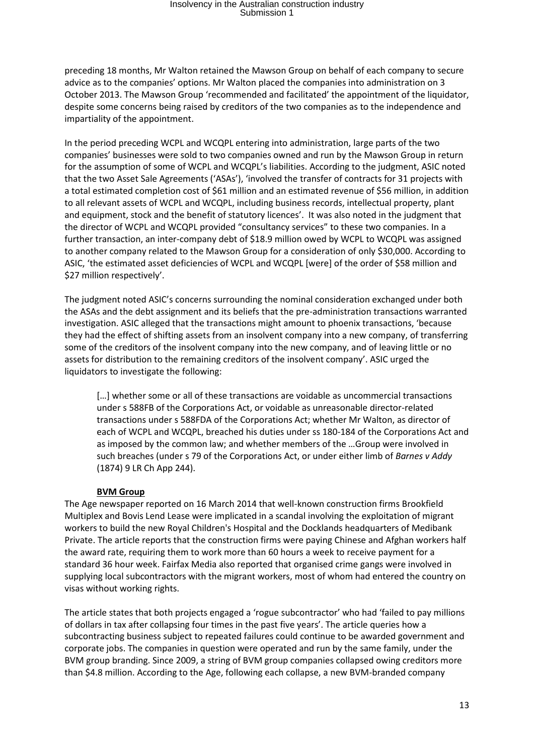preceding 18 months, Mr Walton retained the Mawson Group on behalf of each company to secure advice as to the companies' options. Mr Walton placed the companies into administration on 3 October 2013. The Mawson Group 'recommended and facilitated' the appointment of the liquidator, despite some concerns being raised by creditors of the two companies as to the independence and impartiality of the appointment.

In the period preceding WCPL and WCQPL entering into administration, large parts of the two companies' businesses were sold to two companies owned and run by the Mawson Group in return for the assumption of some of WCPL and WCQPL's liabilities. According to the judgment, ASIC noted that the two Asset Sale Agreements ('ASAs'), 'involved the transfer of contracts for 31 projects with a total estimated completion cost of \$61 million and an estimated revenue of \$56 million, in addition to all relevant assets of WCPL and WCQPL, including business records, intellectual property, plant and equipment, stock and the benefit of statutory licences'. It was also noted in the judgment that the director of WCPL and WCQPL provided "consultancy services" to these two companies. In a further transaction, an inter-company debt of \$18.9 million owed by WCPL to WCQPL was assigned to another company related to the Mawson Group for a consideration of only \$30,000. According to ASIC, 'the estimated asset deficiencies of WCPL and WCQPL [were] of the order of \$58 million and \$27 million respectively'.

The judgment noted ASIC's concerns surrounding the nominal consideration exchanged under both the ASAs and the debt assignment and its beliefs that the pre-administration transactions warranted investigation. ASIC alleged that the transactions might amount to phoenix transactions, 'because they had the effect of shifting assets from an insolvent company into a new company, of transferring some of the creditors of the insolvent company into the new company, and of leaving little or no assets for distribution to the remaining creditors of the insolvent company'. ASIC urged the liquidators to investigate the following:

[...] whether some or all of these transactions are voidable as uncommercial transactions under s 588FB of the Corporations Act, or voidable as unreasonable director-related transactions under s 588FDA of the Corporations Act; whether Mr Walton, as director of each of WCPL and WCQPL, breached his duties under ss 180-184 of the Corporations Act and as imposed by the common law; and whether members of the …Group were involved in such breaches (under s 79 of the Corporations Act, or under either limb of *Barnes v Addy* (1874) 9 LR Ch App 244).

#### **BVM Group**

The Age newspaper reported on 16 March 2014 that well-known construction firms Brookfield Multiplex and Bovis Lend Lease were implicated in a scandal involving the exploitation of migrant workers to build the new Royal Children's Hospital and the Docklands headquarters of Medibank Private. The article reports that the construction firms were paying Chinese and Afghan workers half the award rate, requiring them to work more than 60 hours a week to receive payment for a standard 36 hour week. Fairfax Media also reported that organised crime gangs were involved in supplying local subcontractors with the migrant workers, most of whom had entered the country on visas without working rights.

The article states that both projects engaged a 'rogue subcontractor' who had 'failed to pay millions of dollars in tax after collapsing four times in the past five years'. The article queries how a subcontracting business subject to repeated failures could continue to be awarded government and corporate jobs. The companies in question were operated and run by the same family, under the BVM group branding. Since 2009, a string of BVM group companies collapsed owing creditors more than \$4.8 million. According to the Age, following each collapse, a new BVM-branded company